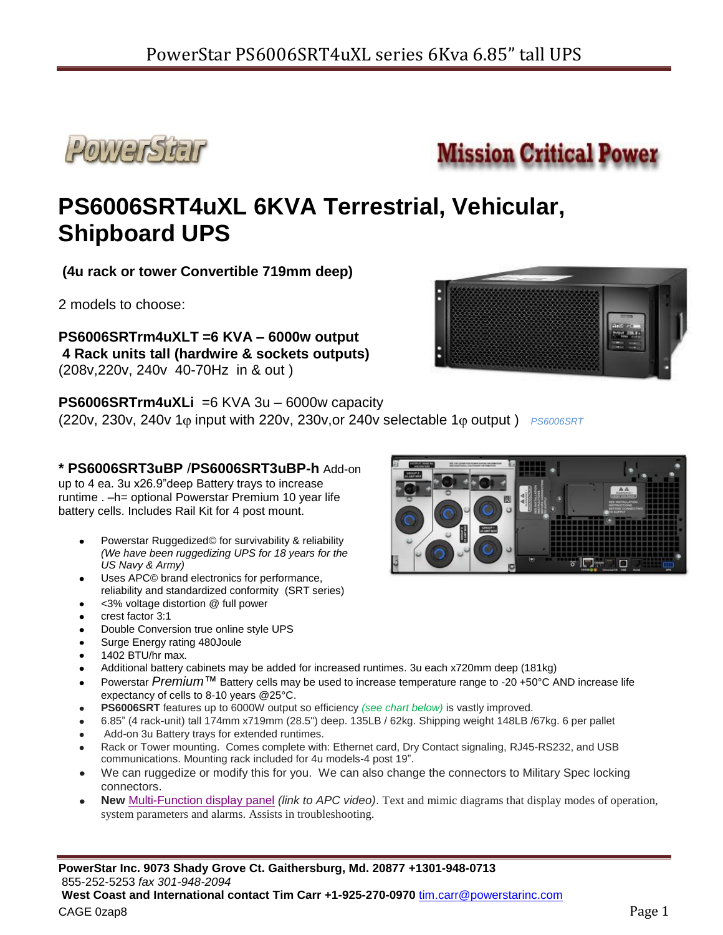



# **PS6006SRT4uXL 6KVA Terrestrial, Vehicular, Shipboard UPS**

**(4u rack or tower Convertible 719mm deep)**

2 models to choose:

**PS6006SRTrm4uXLT =6 KVA – 6000w output 4 Rack units tall (hardwire & sockets outputs)** (208v,220v, 240v 40-70Hz in & out )

**PS6006SRTrm4uXLi** =6 KVA 3u – 6000w capacity

(220v, 230v, 240v 1 $\varphi$  input with 220v, 230v, or 240v selectable 1 $\varphi$  output ) *PS6006SRT* 

## **\* PS6006SRT3uBP** /**PS6006SRT3uBP-h** Add-on

up to 4 ea. 3u x26.9"deep Battery trays to increase runtime . –h= optional Powerstar Premium 10 year life battery cells. Includes Rail Kit for 4 post mount.

- Powerstar Ruggedized© for survivability & reliability *(We have been ruggedizing UPS for 18 years for the US Navy & Army)*
- Uses APC© brand electronics for performance, reliability and standardized conformity (SRT series)
- <3% voltage distortion @ full power
- crest factor 3:1
- Double Conversion true online style UPS
- Surge Energy rating 480Joule
- 1402 BTU/hr max.
- Additional battery cabinets may be added for increased runtimes. 3u each x720mm deep (181kg)
- Powerstar *Premium™* Battery cells may be used to increase temperature range to -20 +50°C AND increase life expectancy of cells to 8-10 years @25°C.
- **PS6006SRT** features up to 6000W output so efficiency *(see chart below)* is vastly improved.
- 6.85" (4 rack-unit) tall 174mm x719mm (28.5") deep. 135LB / 62kg. Shipping weight 148LB /67kg. 6 per pallet
- Add-on 3u Battery trays for extended runtimes.
- Rack or Tower mounting. Comes complete with: Ethernet card, Dry Contact signaling, RJ45-RS232, and USB communications. Mounting rack included for 4u models-4 post 19".
- We can ruggedize or modify this for you. We can also change the connectors to Military Spec locking connectors.
- **New** [Multi-Function display panel](http://www.apc.com/products/resource/include/display_video.cfm?embedCode=kyNHgzbjolBAnnvx8lQ-Fxl_qHrF_GJ-) *(link to APC video)*. Text and mimic diagrams that display modes of operation, system parameters and alarms. Assists in troubleshooting.

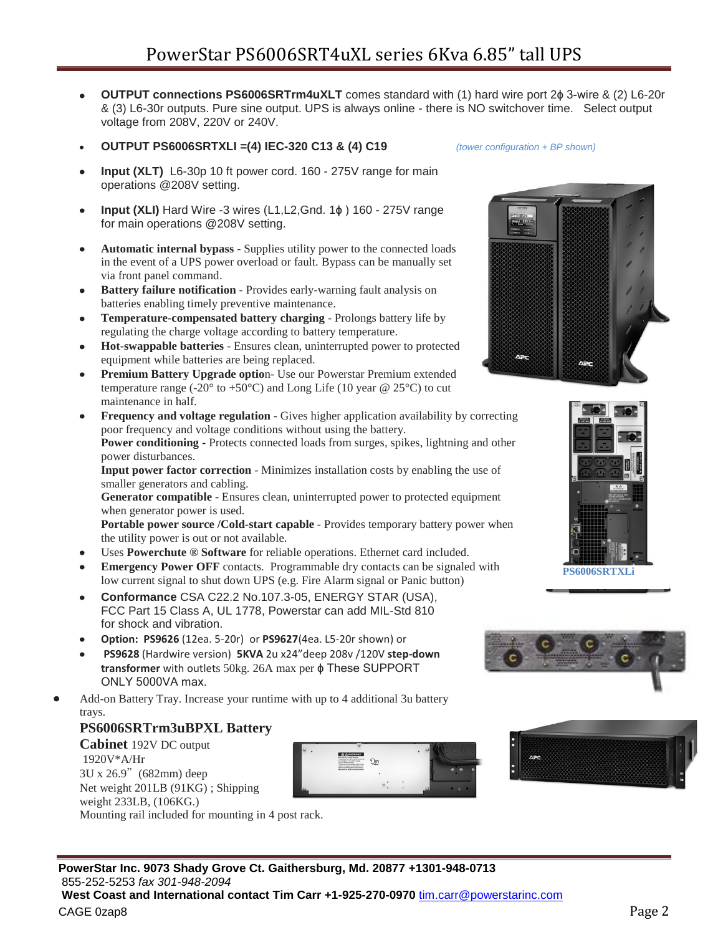- **OUTPUT connections PS6006SRTrm4uXLT** comes standard with (1) hard wire port 2ϕ 3-wire & (2) L6-20r  $\bullet$ & (3) L6-30r outputs. Pure sine output. UPS is always online - there is NO switchover time. Select output voltage from 208V, 220V or 240V.
- **OUTPUT PS6006SRTXLI =(4) IEC-320 C13 & (4) C19** *(tower configuration + BP shown)*
- **Input (XLT)** L6-30p 10 ft power cord. 160 275V range for main operations @208V setting.
- **Input (XLI)** Hard Wire -3 wires (L1,L2,Gnd. 1ϕ ) 160 275V range for main operations @208V setting.
- **Automatic internal bypass** Supplies utility power to the connected loads in the event of a UPS power overload or fault. Bypass can be manually set via front panel command.
- **Battery failure notification** Provides early-warning fault analysis on batteries enabling timely preventive maintenance.
- **Temperature-compensated battery charging** Prolongs battery life by regulating the charge voltage according to battery temperature.
- **Hot-swappable batteries** Ensures clean, uninterrupted power to protected equipment while batteries are being replaced.
- **Premium Battery Upgrade optio**n- Use our Powerstar Premium extended temperature range (-20 $\degree$  to +50 $\degree$ C) and Long Life (10 year @ 25 $\degree$ C) to cut maintenance in half.
- **Frequency and voltage regulation** Gives higher application availability by correcting poor frequency and voltage conditions without using the battery. **Power conditioning -** Protects connected loads from surges, spikes, lightning and other

power disturbances. **Input power factor correction** - Minimizes installation costs by enabling the use of smaller generators and cabling.

**Generator compatible** - Ensures clean, uninterrupted power to protected equipment when generator power is used.

**Portable power source /Cold-start capable** - Provides temporary battery power when the utility power is out or not available.

- Uses **Powerchute ® Software** for reliable operations. Ethernet card included.
- **Emergency Power OFF** contacts. Programmable dry contacts can be signaled with low current signal to shut down UPS (e.g. Fire Alarm signal or Panic button)
- **Conformance** CSA C22.2 No.107.3-05, ENERGY STAR (USA), FCC Part 15 Class A, UL 1778, Powerstar can add MIL-Std 810 for shock and vibration.
- **Option: PS9626** (12ea. 5-20r) or **PS9627**(4ea. L5-20r shown) or
- **PS9628** (Hardwire version) **5KVA** 2u x24"deep 208v /120V **step-down transformer** with outlets 50kg. 26A max per ϕ These SUPPORT ONLY 5000VA max.
- Add-on Battery Tray. Increase your runtime with up to 4 additional 3u battery trays.

### **PS6006SRTrm3uBPXL Battery**

**Cabinet** 192V DC output 1920V\*A/Hr 3U x 26.9"(682mm) deep Net weight 201LB (91KG) ; Shipping weight 233LB, (106KG.) Mounting rail included for mounting in 4 post rack.







**PS6006SRTXLi**





CAGE 0zap8 Page 2